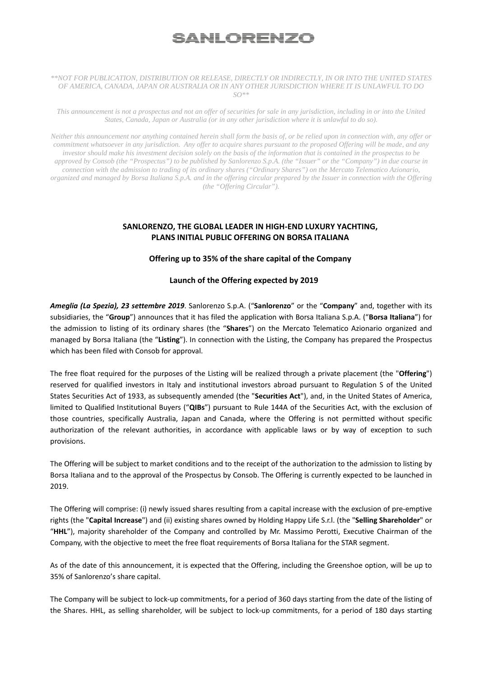# <u>SANLORENZO</u>

#### *\*\*NOT FOR PUBLICATION, DISTRIBUTION OR RELEASE, DIRECTLY OR INDIRECTLY, IN OR INTO THE UNITED STATES OF AMERICA, CANADA, JAPAN OR AUSTRALIA OR IN ANY OTHER JURISDICTION WHERE IT IS UNLAWFUL TO DO SO\*\**

*This announcement is not a prospectus and not an offer of securities for sale in any jurisdiction, including in or into the United States, Canada, Japan or Australia (or in any other jurisdiction where it is unlawful to do so).* 

*Neither this announcement nor anything contained herein shall form the basis of, or be relied upon in connection with, any offer or commitment whatsoever in any jurisdiction. Any offer to acquire shares pursuant to the proposed Offering will be made, and any investor should make his investment decision solely on the basis of the information that is contained in the prospectus to be approved by Consob (the "Prospectus") to be published by Sanlorenzo S.p.A. (the "Issuer" or the "Company") in due course in connection with the admission to trading of its ordinary shares ("Ordinary Shares") on the Mercato Telematico Azionario, organized and managed by Borsa Italiana S.p.A. and in the offering circular prepared by the Issuer in connection with the Offering (the "Offering Circular").* 

# **SANLORENZO, THE GLOBAL LEADER IN HIGH‐END LUXURY YACHTING, PLANS INITIAL PUBLIC OFFERING ON BORSA ITALIANA**

# **Offering up to 35% of the share capital of the Company**

# Launch of the Offering expected by 2019

*Ameglia (La Spezia), 23 settembre 2019*. Sanlorenzo S.p.A. ("**Sanlorenzo**" or the "**Company**" and, together with its subsidiaries, the "**Group**") announces that it has filed the application with Borsa Italiana S.p.A. ("**Borsa Italiana**") for the admission to listing of its ordinary shares (the "**Shares**") on the Mercato Telematico Azionario organized and managed by Borsa Italiana (the "**Listing**"). In connection with the Listing, the Company has prepared the Prospectus which has been filed with Consob for approval.

The free float required for the purposes of the Listing will be realized through a private placement (the "**Offering**") reserved for qualified investors in Italy and institutional investors abroad pursuant to Regulation S of the United States Securities Act of 1933, as subsequently amended (the "**Securities Act**"), and, in the United States of America, limited to Qualified Institutional Buyers ("**QIBs**") pursuant to Rule 144A of the Securities Act, with the exclusion of those countries, specifically Australia, Japan and Canada, where the Offering is not permitted without specific authorization of the relevant authorities, in accordance with applicable laws or by way of exception to such provisions.

The Offering will be subject to market conditions and to the receipt of the authorization to the admission to listing by Borsa Italiana and to the approval of the Prospectus by Consob. The Offering is currently expected to be launched in 2019.

The Offering will comprise: (i) newly issued shares resulting from a capital increase with the exclusion of pre‐emptive rights (the "**Capital Increase**") and (ii) existing shares owned by Holding Happy Life S.r.l. (the "**Selling Shareholder**" or "**HHL**"), majority shareholder of the Company and controlled by Mr. Massimo Perotti, Executive Chairman of the Company, with the objective to meet the free float requirements of Borsa Italiana for the STAR segment.

As of the date of this announcement, it is expected that the Offering, including the Greenshoe option, will be up to 35% of Sanlorenzo's share capital.

The Company will be subject to lock-up commitments, for a period of 360 days starting from the date of the listing of the Shares. HHL, as selling shareholder, will be subject to lock-up commitments, for a period of 180 days starting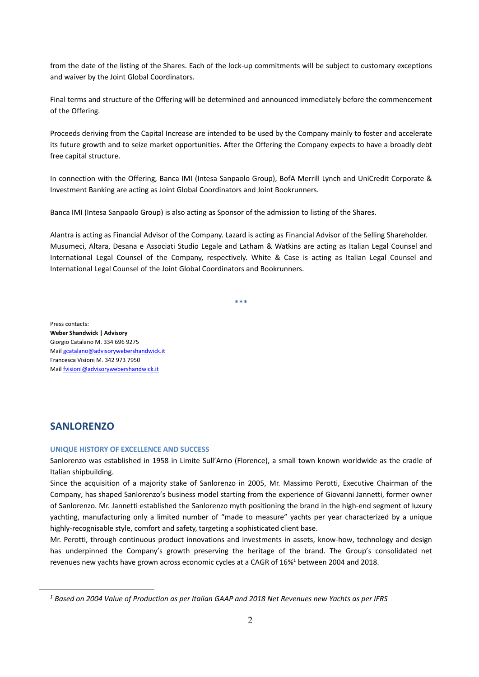from the date of the listing of the Shares. Each of the lock-up commitments will be subject to customary exceptions and waiver by the Joint Global Coordinators.

Final terms and structure of the Offering will be determined and announced immediately before the commencement of the Offering.

Proceeds deriving from the Capital Increase are intended to be used by the Company mainly to foster and accelerate its future growth and to seize market opportunities. After the Offering the Company expects to have a broadly debt free capital structure.

In connection with the Offering, Banca IMI (Intesa Sanpaolo Group), BofA Merrill Lynch and UniCredit Corporate & Investment Banking are acting as Joint Global Coordinators and Joint Bookrunners.

Banca IMI (Intesa Sanpaolo Group) is also acting as Sponsor of the admission to listing of the Shares.

Alantra is acting as Financial Advisor of the Company. Lazard is acting as Financial Advisor of the Selling Shareholder. Musumeci, Altara, Desana e Associati Studio Legale and Latham & Watkins are acting as Italian Legal Counsel and International Legal Counsel of the Company, respectively. White & Case is acting as Italian Legal Counsel and International Legal Counsel of the Joint Global Coordinators and Bookrunners.

\*\*\*

Press contacts:

**Weber Shandwick | Advisory** Giorgio Catalano M. 334 696 9275 Mail gcatalano@advisorywebershandwick.it Francesca Visioni M. 342 973 7950 Mail fvisioni@advisorywebershandwick.it

# **SANLORENZO**

 $\overline{a}$ 

## **UNIQUE HISTORY OF EXCELLENCE AND SUCCESS**

Sanlorenzo was established in 1958 in Limite Sull'Arno (Florence), a small town known worldwide as the cradle of Italian shipbuilding.

Since the acquisition of a majority stake of Sanlorenzo in 2005, Mr. Massimo Perotti, Executive Chairman of the Company, has shaped Sanlorenzo's business model starting from the experience of Giovanni Jannetti, former owner of Sanlorenzo. Mr. Jannetti established the Sanlorenzo myth positioning the brand in the high‐end segment of luxury yachting, manufacturing only a limited number of "made to measure" yachts per year characterized by a unique highly-recognisable style, comfort and safety, targeting a sophisticated client base.

Mr. Perotti, through continuous product innovations and investments in assets, know-how, technology and design has underpinned the Company's growth preserving the heritage of the brand. The Group's consolidated net revenues new yachts have grown across economic cycles at a CAGR of 16%<sup>1</sup> between 2004 and 2018.

*<sup>1</sup> Based on 2004 Value of Production as per Italian GAAP and 2018 Net Revenues new Yachts as per IFRS*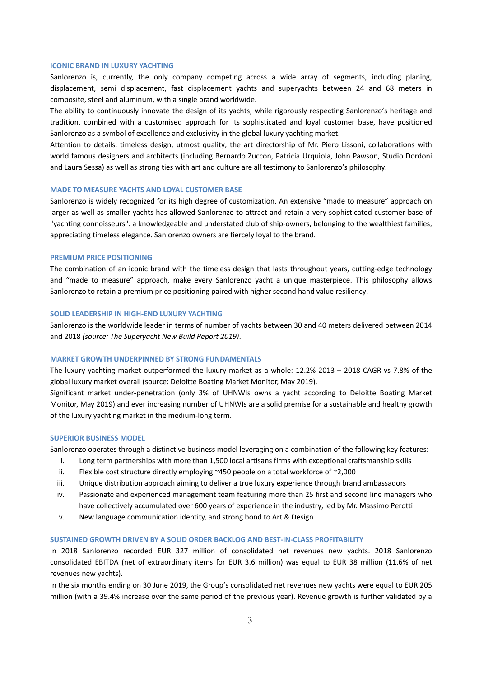# **ICONIC BRAND IN LUXURY YACHTING**

Sanlorenzo is, currently, the only company competing across a wide array of segments, including planing, displacement, semi displacement, fast displacement yachts and superyachts between 24 and 68 meters in composite, steel and aluminum, with a single brand worldwide.

The ability to continuously innovate the design of its yachts, while rigorously respecting Sanlorenzo's heritage and tradition, combined with a customised approach for its sophisticated and loyal customer base, have positioned Sanlorenzo as a symbol of excellence and exclusivity in the global luxury yachting market.

Attention to details, timeless design, utmost quality, the art directorship of Mr. Piero Lissoni, collaborations with world famous designers and architects (including Bernardo Zuccon, Patricia Urquiola, John Pawson, Studio Dordoni and Laura Sessa) as well as strong ties with art and culture are all testimony to Sanlorenzo's philosophy.

# **MADE TO MEASURE YACHTS AND LOYAL CUSTOMER BASE**

Sanlorenzo is widely recognized for its high degree of customization. An extensive "made to measure" approach on larger as well as smaller yachts has allowed Sanlorenzo to attract and retain a very sophisticated customer base of "yachting connoisseurs": a knowledgeable and understated club of ship-owners, belonging to the wealthiest families, appreciating timeless elegance. Sanlorenzo owners are fiercely loyal to the brand.

#### **PREMIUM PRICE POSITIONING**

The combination of an iconic brand with the timeless design that lasts throughout years, cutting-edge technology and "made to measure" approach, make every Sanlorenzo yacht a unique masterpiece. This philosophy allows Sanlorenzo to retain a premium price positioning paired with higher second hand value resiliency.

# **SOLID LEADERSHIP IN HIGH‐END LUXURY YACHTING**

Sanlorenzo is the worldwide leader in terms of number of yachts between 30 and 40 meters delivered between 2014 and 2018 *(source: The Superyacht New Build Report 2019)*.

# **MARKET GROWTH UNDERPINNED BY STRONG FUNDAMENTALS**

The luxury yachting market outperformed the luxury market as a whole: 12.2% 2013 – 2018 CAGR vs 7.8% of the global luxury market overall (source: Deloitte Boating Market Monitor, May 2019).

Significant market under‐penetration (only 3% of UHNWIs owns a yacht according to Deloitte Boating Market Monitor, May 2019) and ever increasing number of UHNWIs are a solid premise for a sustainable and healthy growth of the luxury yachting market in the medium‐long term.

#### **SUPERIOR BUSINESS MODEL**

Sanlorenzo operates through a distinctive business model leveraging on a combination of the following key features:

- i. Long term partnerships with more than 1,500 local artisans firms with exceptional craftsmanship skills
- ii. Flexible cost structure directly employing ~450 people on a total workforce of ~2,000
- iii. Unique distribution approach aiming to deliver a true luxury experience through brand ambassadors
- iv. Passionate and experienced management team featuring more than 25 first and second line managers who have collectively accumulated over 600 years of experience in the industry, led by Mr. Massimo Perotti
- v. New language communication identity, and strong bond to Art & Design

# **SUSTAINED GROWTH DRIVEN BY A SOLID ORDER BACKLOG AND BEST‐IN‐CLASS PROFITABILITY**

In 2018 Sanlorenzo recorded EUR 327 million of consolidated net revenues new yachts. 2018 Sanlorenzo consolidated EBITDA (net of extraordinary items for EUR 3.6 million) was equal to EUR 38 million (11.6% of net revenues new yachts).

In the six months ending on 30 June 2019, the Group's consolidated net revenues new yachts were equal to EUR 205 million (with a 39.4% increase over the same period of the previous year). Revenue growth is further validated by a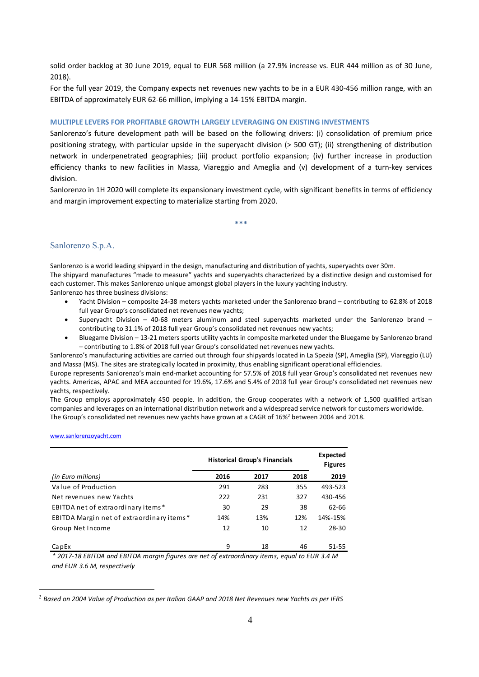solid order backlog at 30 June 2019, equal to EUR 568 million (a 27.9% increase vs. EUR 444 million as of 30 June, 2018).

For the full year 2019, the Company expects net revenues new yachts to be in a EUR 430‐456 million range, with an EBITDA of approximately EUR 62‐66 million, implying a 14‐15% EBITDA margin.

# **MULTIPLE LEVERS FOR PROFITABLE GROWTH LARGELY LEVERAGING ON EXISTING INVESTMENTS**

Sanlorenzo's future development path will be based on the following drivers: (i) consolidation of premium price positioning strategy, with particular upside in the superyacht division (> 500 GT); (ii) strengthening of distribution network in underpenetrated geographies; (iii) product portfolio expansion; (iv) further increase in production efficiency thanks to new facilities in Massa, Viareggio and Ameglia and (v) development of a turn-key services division.

Sanlorenzo in 1H 2020 will complete its expansionary investment cycle, with significant benefits in terms of efficiency and margin improvement expecting to materialize starting from 2020.

\*\*\*

# Sanlorenzo S.p.A.

Sanlorenzo is a world leading shipyard in the design, manufacturing and distribution of yachts, superyachts over 30m. The shipyard manufactures "made to measure" yachts and superyachts characterized by a distinctive design and customised for each customer. This makes Sanlorenzo unique amongst global players in the luxury yachting industry. Sanlorenzo has three business divisions:

- Yacht Division composite 24‐38 meters yachts marketed under the Sanlorenzo brand contributing to 62.8% of 2018 full year Group's consolidated net revenues new yachts;
- Superyacht Division  $-$  40-68 meters aluminum and steel superyachts marketed under the Sanlorenzo brand  $$ contributing to 31.1% of 2018 full year Group's consolidated net revenues new yachts;
- Bluegame Division 13‐21 meters sports utility yachts in composite marketed under the Bluegame by Sanlorenzo brand – contributing to 1.8% of 2018 full year Group's consolidated net revenues new yachts.

Sanlorenzo's manufacturing activities are carried out through four shipyards located in La Spezia (SP), Ameglia (SP), Viareggio (LU) and Massa (MS). The sites are strategically located in proximity, thus enabling significant operational efficiencies.

Europe represents Sanlorenzo's main end‐market accounting for 57.5% of 2018 full year Group's consolidated net revenues new yachts. Americas, APAC and MEA accounted for 19.6%, 17.6% and 5.4% of 2018 full year Group's consolidated net revenues new yachts, respectively.

The Group employs approximately 450 people. In addition, the Group cooperates with a network of 1,500 qualified artisan companies and leverages on an international distribution network and a widespread service network for customers worldwide. The Group's consolidated net revenues new yachts have grown at a CAGR of 16%<sup>2</sup> between 2004 and 2018.

# www.sanlorenzoyacht.com

 $\overline{a}$ 

|                                           | <b>Historical Group's Financials</b> |      |      | Expected<br><b>Figures</b> |
|-------------------------------------------|--------------------------------------|------|------|----------------------------|
| (in Euro milions)                         | 2016                                 | 2017 | 2018 | 2019                       |
| Value of Production                       | 291                                  | 283  | 355  | 493-523                    |
| Net revenues new Yachts                   | 222                                  | 231  | 327  | 430-456                    |
| EBITDA net of extraordinary items*        | 30                                   | 29   | 38   | 62-66                      |
| EBITDA Margin net of extraordinary items* | 14%                                  | 13%  | 12%  | 14%-15%                    |
| Group Net Income                          | 12                                   | 10   | 12   | 28-30                      |
| CapEx                                     | 9                                    | 18   | 46   | 51-55                      |

*\* 2017‐18 EBITDA and EBITDA margin figures are net of extraordinary items, equal to EUR 3.4 M and EUR 3.6 M, respectively*

<sup>2</sup> *Based on 2004 Value of Production as per Italian GAAP and 2018 Net Revenues new Yachts as per IFRS*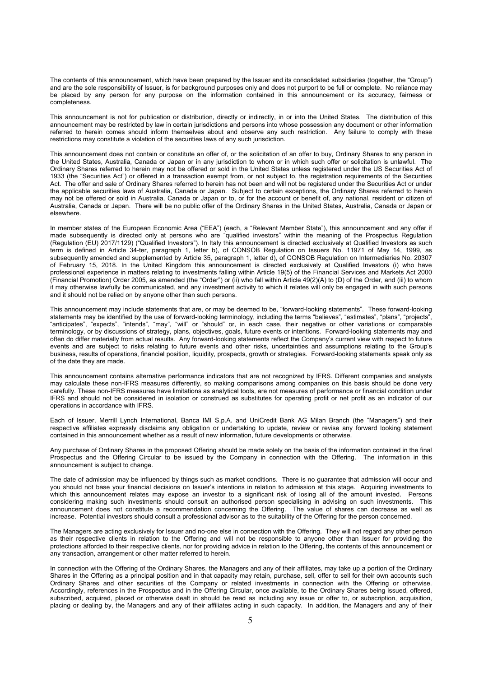The contents of this announcement, which have been prepared by the Issuer and its consolidated subsidiaries (together, the "Group") and are the sole responsibility of Issuer, is for background purposes only and does not purport to be full or complete. No reliance may be placed by any person for any purpose on the information contained in this announcement or its accuracy, fairness or completeness.

This announcement is not for publication or distribution, directly or indirectly, in or into the United States. The distribution of this announcement may be restricted by law in certain jurisdictions and persons into whose possession any document or other information referred to herein comes should inform themselves about and observe any such restriction. Any failure to comply with these restrictions may constitute a violation of the securities laws of any such jurisdiction.

This announcement does not contain or constitute an offer of, or the solicitation of an offer to buy, Ordinary Shares to any person in the United States, Australia, Canada or Japan or in any jurisdiction to whom or in which such offer or solicitation is unlawful. The Ordinary Shares referred to herein may not be offered or sold in the United States unless registered under the US Securities Act of 1933 (the "Securities Act") or offered in a transaction exempt from, or not subject to, the registration requirements of the Securities Act. The offer and sale of Ordinary Shares referred to herein has not been and will not be registered under the Securities Act or under the applicable securities laws of Australia, Canada or Japan. Subject to certain exceptions, the Ordinary Shares referred to herein may not be offered or sold in Australia, Canada or Japan or to, or for the account or benefit of, any national, resident or citizen of Australia, Canada or Japan. There will be no public offer of the Ordinary Shares in the United States, Australia, Canada or Japan or elsewhere.

In member states of the European Economic Area ("EEA") (each, a "Relevant Member State"), this announcement and any offer if made subsequently is directed only at persons who are "qualified investors" within the meaning of the Prospectus Regulation (Regulation (EU) 2017/1129) ("Qualified Investors"). In Italy this announcement is directed exclusively at Qualified Investors as such term is defined in Article 34-ter, paragraph 1, letter b), of CONSOB Regulation on Issuers No. 11971 of May 14, 1999, as subsequently amended and supplemented by Article 35, paragraph 1, letter d), of CONSOB Regulation on Intermediaries No. 20307 of February 15, 2018. In the United Kingdom this announcement is directed exclusively at Qualified Investors (i) who have professional experience in matters relating to investments falling within Article 19(5) of the Financial Services and Markets Act 2000 (Financial Promotion) Order 2005, as amended (the "Order") or (ii) who fall within Article 49(2)(A) to (D) of the Order, and (iii) to whom it may otherwise lawfully be communicated, and any investment activity to which it relates will only be engaged in with such persons and it should not be relied on by anyone other than such persons.

This announcement may include statements that are, or may be deemed to be, "forward-looking statements". These forward-looking statements may be identified by the use of forward-looking terminology, including the terms "believes", "estimates", "plans", "projects", "anticipates", "expects", "intends", "may", "will" or "should" or, in each case, their negative or other variations or comparable terminology, or by discussions of strategy, plans, objectives, goals, future events or intentions. Forward-looking statements may and often do differ materially from actual results. Any forward-looking statements reflect the Company's current view with respect to future events and are subject to risks relating to future events and other risks, uncertainties and assumptions relating to the Group's business, results of operations, financial position, liquidity, prospects, growth or strategies. Forward-looking statements speak only as of the date they are made.

This announcement contains alternative performance indicators that are not recognized by IFRS. Different companies and analysts may calculate these non-IFRS measures differently, so making comparisons among companies on this basis should be done very carefully. These non-IFRS measures have limitations as analytical tools, are not measures of performance or financial condition under IFRS and should not be considered in isolation or construed as substitutes for operating profit or net profit as an indicator of our operations in accordance with IFRS.

Each of Issuer, Merrill Lynch International, Banca IMI S.p.A. and UniCredit Bank AG Milan Branch (the "Managers") and their respective affiliates expressly disclaims any obligation or undertaking to update, review or revise any forward looking statement contained in this announcement whether as a result of new information, future developments or otherwise.

Any purchase of Ordinary Shares in the proposed Offering should be made solely on the basis of the information contained in the final Prospectus and the Offering Circular to be issued by the Company in connection with the Offering. The information in this announcement is subject to change.

The date of admission may be influenced by things such as market conditions. There is no guarantee that admission will occur and you should not base your financial decisions on Issuer's intentions in relation to admission at this stage. Acquiring investments to which this announcement relates may expose an investor to a significant risk of losing all of the amount invested. Persons considering making such investments should consult an authorised person specialising in advising on such investments. This announcement does not constitute a recommendation concerning the Offering. The value of shares can decrease as well as increase. Potential investors should consult a professional advisor as to the suitability of the Offering for the person concerned.

The Managers are acting exclusively for Issuer and no-one else in connection with the Offering. They will not regard any other person as their respective clients in relation to the Offering and will not be responsible to anyone other than Issuer for providing the protections afforded to their respective clients, nor for providing advice in relation to the Offering, the contents of this announcement or any transaction, arrangement or other matter referred to herein.

In connection with the Offering of the Ordinary Shares, the Managers and any of their affiliates, may take up a portion of the Ordinary Shares in the Offering as a principal position and in that capacity may retain, purchase, sell, offer to sell for their own accounts such Ordinary Shares and other securities of the Company or related investments in connection with the Offering or otherwise. Accordingly, references in the Prospectus and in the Offering Circular, once available, to the Ordinary Shares being issued, offered, subscribed, acquired, placed or otherwise dealt in should be read as including any issue or offer to, or subscription, acquisition, placing or dealing by, the Managers and any of their affiliates acting in such capacity. In addition, the Managers and any of their